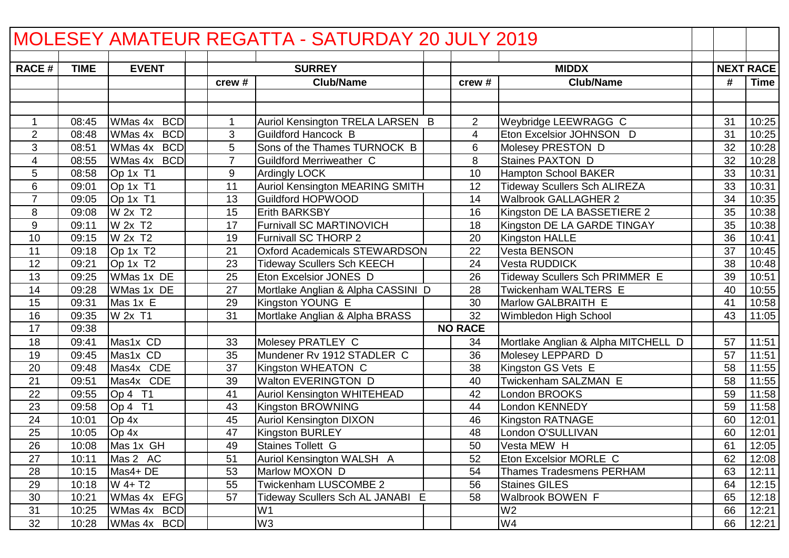| MOLESEY AMATEUR REGATTA - SATURDAY 20 JULY 2019 |             |                       |                |                                        |  |                |                                     |    |    |                  |
|-------------------------------------------------|-------------|-----------------------|----------------|----------------------------------------|--|----------------|-------------------------------------|----|----|------------------|
| <b>RACE#</b>                                    | <b>TIME</b> | <b>EVENT</b>          |                | <b>SURREY</b>                          |  |                | <b>MIDDX</b>                        |    |    | <b>NEXT RACE</b> |
|                                                 |             |                       | crew #         | <b>Club/Name</b>                       |  | crew #         | <b>Club/Name</b>                    |    | #  | <b>Time</b>      |
|                                                 |             |                       |                |                                        |  |                |                                     |    |    |                  |
|                                                 |             |                       |                |                                        |  |                |                                     |    |    |                  |
| $\mathbf 1$                                     | 08:45       | <b>BCD</b><br>WMas 4x | 1              | Auriol Kensington TRELA LARSEN B       |  | $\overline{2}$ | Weybridge LEEWRAGG C                | 31 |    | 10:25            |
| $\overline{2}$                                  | 08:48       | WMas 4x<br><b>BCD</b> | 3              | <b>Guildford Hancock B</b>             |  | 4              | Eton Excelsior JOHNSON D            | 31 |    | 10:25            |
| 3                                               | 08:51       | <b>BCD</b><br>WMas 4x | 5              | Sons of the Thames TURNOCK B           |  | 6              | Molesey PRESTON D                   |    | 32 | 10:28            |
| 4                                               | 08:55       | WMas 4x BCD           | $\overline{7}$ | <b>Guildford Merriweather C</b>        |  | 8              | Staines PAXTON D                    |    | 32 | 10:28            |
| 5                                               | 08:58       | Op 1x T1              | 9              | Ardingly LOCK                          |  | 10             | <b>Hampton School BAKER</b>         |    | 33 | 10:31            |
| 6                                               | 09:01       | Op 1x T1              | 11             | <b>Auriol Kensington MEARING SMITH</b> |  | 12             | <b>Tideway Scullers Sch ALIREZA</b> |    | 33 | 10:31            |
| $\overline{7}$                                  | 09:05       | Op 1x T1              | 13             | <b>Guildford HOPWOOD</b>               |  | 14             | <b>Walbrook GALLAGHER 2</b>         |    | 34 | 10:35            |
| 8                                               | 09:08       | W 2x T2               | 15             | <b>Erith BARKSBY</b>                   |  | 16             | Kingston DE LA BASSETIERE 2         |    | 35 | 10:38            |
| 9                                               | 09:11       | W 2x T2               | 17             | <b>Furnivall SC MARTINOVICH</b>        |  | 18             | Kingston DE LA GARDE TINGAY         |    | 35 | 10:38            |
| 10                                              | 09:15       | W 2x T2               | 19             | Furnivall SC THORP 2                   |  | 20             | <b>Kingston HALLE</b>               |    | 36 | 10:41            |
| 11                                              | 09:18       | Op 1x T <sub>2</sub>  | 21             | <b>Oxford Academicals STEWARDSON</b>   |  | 22             | Vesta BENSON                        |    | 37 | 10:45            |
| 12                                              | 09:21       | Op 1x T2              | 23             | <b>Tideway Scullers Sch KEECH</b>      |  | 24             | <b>Vesta RUDDICK</b>                |    | 38 | 10:48            |
| 13                                              | 09:25       | WMas 1x DE            | 25             | Eton Excelsior JONES D                 |  | 26             | Tideway Scullers Sch PRIMMER E      |    | 39 | 10:51            |
| 14                                              | 09:28       | WMas 1x DE            | 27             | Mortlake Anglian & Alpha CASSINI D     |  | 28             | Twickenham WALTERS E                |    | 40 | 10:55            |
| 15                                              | 09:31       | Mas 1x E              | 29             | Kingston YOUNG E                       |  | 30             | Marlow GALBRAITH E                  | 41 |    | 10:58            |
| 16                                              | 09:35       | W 2x T1               | 31             | Mortlake Anglian & Alpha BRASS         |  | 32             | Wimbledon High School               |    | 43 | 11:05            |
| 17                                              | 09:38       |                       |                |                                        |  | <b>NO RACE</b> |                                     |    |    |                  |
| 18                                              | 09:41       | Mas1x CD              | 33             | Molesey PRATLEY C                      |  | 34             | Mortlake Anglian & Alpha MITCHELL D |    | 57 | 11:51            |
| 19                                              | 09:45       | Mas1x CD              | 35             | Mundener Rv 1912 STADLER C             |  | 36             | Molesey LEPPARD D                   |    | 57 | 11:51            |
| 20                                              | 09:48       | Mas4x CDE             | 37             | Kingston WHEATON C                     |  | 38             | Kingston GS Vets E                  |    | 58 | 11:55            |
| 21                                              | 09:51       | Mas4x CDE             | 39             | Walton EVERINGTON D                    |  | 40             | Twickenham SALZMAN E                |    | 58 | 11:55            |
| 22                                              | 09:55       | Op 4 T1               | 41             | <b>Auriol Kensington WHITEHEAD</b>     |  | 42             | London BROOKS                       |    | 59 | 11:58            |
| 23                                              | 09:58       | $OD4$ T1              | 43             | Kingston BROWNING                      |  | 44             | London KENNEDY                      |    | 59 | 11:58            |
| 24                                              | 10:01       | Op 4x                 | 45             | <b>Auriol Kensington DIXON</b>         |  | 46             | <b>Kingston RATNAGE</b>             | 60 |    | 12:01            |
| 25                                              | 10:05       | Op 4x                 | 47             | <b>Kingston BURLEY</b>                 |  | 48             | London O'SULLIVAN                   |    | 60 | 12:01            |
| $\overline{26}$                                 |             | 10:08 Mas 1x GH       | 49             | Staines Tollett G                      |  | 50             | Vesta MEW H                         |    | 61 | 12:05            |
| 27                                              | 10:11       | Mas 2 AC              | 51             | Auriol Kensington WALSH A              |  | 52             | <b>Eton Excelsior MORLE C</b>       |    | 62 | 12:08            |
| 28                                              | 10:15       | Mas4+ DE              | 53             | Marlow MOXON D                         |  | 54             | <b>Thames Tradesmens PERHAM</b>     |    | 63 | 12:11            |
| 29                                              | 10:18       | $W$ 4+ T <sub>2</sub> | 55             | <b>Twickenham LUSCOMBE 2</b>           |  | 56             | <b>Staines GILES</b>                |    | 64 | 12:15            |
| 30                                              | 10:21       | WMas 4x EFG           | 57             | Tideway Scullers Sch AL JANABI E       |  | 58             | <b>Walbrook BOWEN F</b>             |    | 65 | 12:18            |
| 31                                              | 10:25       | WMas 4x BCD           |                | W <sub>1</sub>                         |  |                | W <sub>2</sub>                      |    | 66 | 12:21            |
| 32                                              | 10:28       | WMas 4x BCD           |                | W <sub>3</sub>                         |  |                | W4                                  |    | 66 | 12:21            |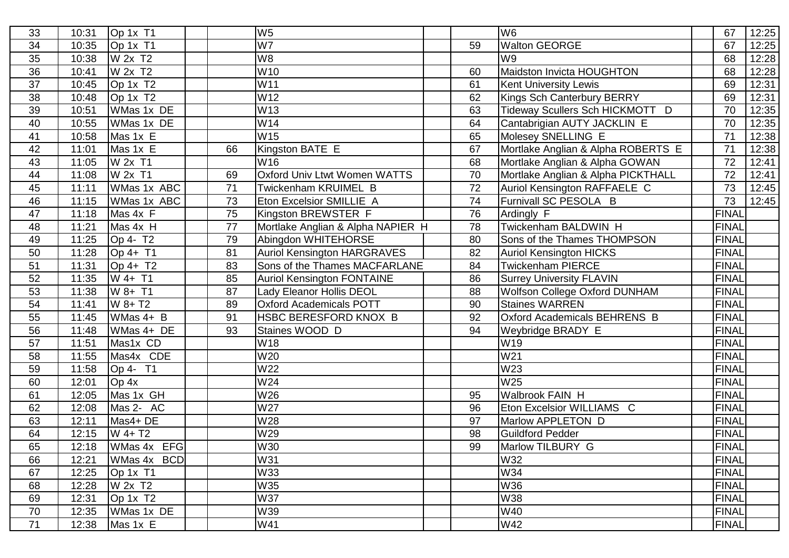| 33              | 10:31 | Op 1x T1                          |    | W <sub>5</sub>                      |    | W <sub>6</sub>                     | 67           | 12:25 |
|-----------------|-------|-----------------------------------|----|-------------------------------------|----|------------------------------------|--------------|-------|
| 34              | 10:35 | Op 1x T1                          |    | W7                                  | 59 | <b>Walton GEORGE</b>               | 67           | 12:25 |
| 35              | 10:38 | W 2x T2                           |    | W8                                  |    | W9                                 | 68           | 12:28 |
| 36              | 10:41 | W 2x T2                           |    | W <sub>10</sub>                     | 60 | Maidston Invicta HOUGHTON          | 68           | 12:28 |
| 37              | 10:45 | Op 1x T <sub>2</sub>              |    | W11                                 | 61 | <b>Kent University Lewis</b>       | 69           | 12:31 |
| 38              | 10:48 | Op 1x T <sub>2</sub>              |    | W12                                 | 62 | <b>Kings Sch Canterbury BERRY</b>  | 69           | 12:31 |
| 39              | 10:51 | WMas 1x DE                        |    | W13                                 | 63 | Tideway Scullers Sch HICKMOTT D    | 70           | 12:35 |
| 40              | 10:55 | WMas 1x DE                        |    | W14                                 | 64 | Cantabrigian AUTY JACKLIN E        | 70           | 12:35 |
| 41              | 10:58 | Mas 1x E                          |    | W15                                 | 65 | Molesey SNELLING E                 | 71           | 12:38 |
| 42              | 11:01 | Mas 1x E                          | 66 | Kingston BATE E                     | 67 | Mortlake Anglian & Alpha ROBERTS E | 71           | 12:38 |
| 43              | 11:05 | W 2x T1                           |    | W <sub>16</sub>                     | 68 | Mortlake Anglian & Alpha GOWAN     | 72           | 12:41 |
| 44              | 11:08 | W 2x T1                           | 69 | <b>Oxford Univ Ltwt Women WATTS</b> | 70 | Mortlake Anglian & Alpha PICKTHALL | 72           | 12:41 |
| 45              | 11:11 | WMas 1x ABC                       | 71 | Twickenham KRUIMEL B                | 72 | Auriol Kensington RAFFAELE C       | 73           | 12:45 |
| 46              | 11:15 | WMas 1x ABC                       | 73 | Eton Excelsior SMILLIE A            | 74 | Furnivall SC PESOLA B              | 73           | 12:45 |
| $\overline{47}$ | 11:18 | Mas 4x F                          | 75 | Kingston BREWSTER F                 | 76 | Ardingly F                         | <b>FINAL</b> |       |
| 48              | 11:21 | Mas 4x H                          | 77 | Mortlake Anglian & Alpha NAPIER H   | 78 | Twickenham BALDWIN H               | <b>FINAL</b> |       |
| 49              | 11:25 | Op 4- T <sub>2</sub>              | 79 | Abingdon WHITEHORSE                 | 80 | Sons of the Thames THOMPSON        | <b>FINAL</b> |       |
| 50              | 11:28 | Op 4+ T1                          | 81 | <b>Auriol Kensington HARGRAVES</b>  | 82 | Auriol Kensington HICKS            | <b>FINAL</b> |       |
| 51              | 11:31 | $Op 4+ T2$                        | 83 | Sons of the Thames MACFARLANE       | 84 | <b>Twickenham PIERCE</b>           | <b>FINAL</b> |       |
| 52              | 11:35 | W 4+ T1                           | 85 | <b>Auriol Kensington FONTAINE</b>   | 86 | <b>Surrey University FLAVIN</b>    | <b>FINAL</b> |       |
| 53              | 11:38 | W 8+ T1                           | 87 | Lady Eleanor Hollis DEOL            | 88 | Wolfson College Oxford DUNHAM      | <b>FINAL</b> |       |
| 54              | 11:41 | W 8+ T2                           | 89 | <b>Oxford Academicals POTT</b>      | 90 | <b>Staines WARREN</b>              | <b>FINAL</b> |       |
| 55              | 11:45 | WMas 4+ B                         | 91 | HSBC BERESFORD KNOX B               | 92 | Oxford Academicals BEHRENS B       | <b>FINAL</b> |       |
| 56              | 11:48 | WMas 4+ DE                        | 93 | Staines WOOD D                      | 94 | Weybridge BRADY E                  | <b>FINAL</b> |       |
| 57              | 11:51 | Mas1x CD                          |    | W18                                 |    | W19                                | <b>FINAL</b> |       |
| 58              | 11:55 | Mas4x CDE                         |    | W20                                 |    | W <sub>21</sub>                    | <b>FINAL</b> |       |
| 59              | 11:58 | Op 4- T1                          |    | W22                                 |    | W23                                | <b>FINAL</b> |       |
| 60              | 12:01 | Op 4x                             |    | W24                                 |    | W25                                | <b>FINAL</b> |       |
| 61              | 12:05 | Mas 1x GH                         |    | W26                                 | 95 | Walbrook FAIN H                    | <b>FINAL</b> |       |
| 62              | 12:08 | Mas 2- AC                         |    | W27                                 | 96 | Eton Excelsior WILLIAMS C          | <b>FINAL</b> |       |
| 63              | 12:11 | Mas4+ DE                          |    | W28                                 | 97 | Marlow APPLETON D                  | <b>FINAL</b> |       |
| 64              | 12:15 | $W$ 4+ T <sub>2</sub>             |    | W29                                 | 98 | <b>Guildford Pedder</b>            | <b>FINAL</b> |       |
| 65              |       | 12:18   WMas 4x EFG               |    | W30                                 | 99 | Marlow TILBURY G                   | <b>FINAL</b> |       |
| 66              | 12:21 | WMas 4x BCD                       |    | W31                                 |    | W32                                | <b>FINAL</b> |       |
| 67              | 12:25 | $\overline{OP}$ 1x T1             |    | W33                                 |    | W34                                | <b>FINAL</b> |       |
| 68              | 12:28 | W 2x T2                           |    | W35                                 |    | W36                                | <b>FINAL</b> |       |
| 69              | 12:31 | $\overline{OP}$ 1x T <sub>2</sub> |    | <b>W37</b>                          |    | <b>W38</b>                         | <b>FINAL</b> |       |
| 70              | 12:35 | WMas 1x DE                        |    | W39                                 |    | W40                                | <b>FINAL</b> |       |
| 71              | 12:38 | Mas 1x E                          |    | W41                                 |    | W42                                | <b>FINAL</b> |       |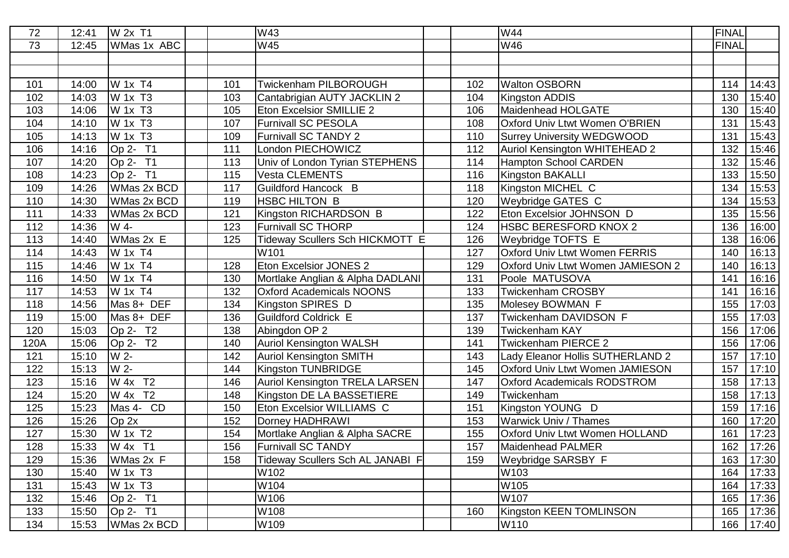| 72   | 12:41 | W 2x T1               |     | W43                                   |     | W44                                   | <b>FINAL</b> |           |
|------|-------|-----------------------|-----|---------------------------------------|-----|---------------------------------------|--------------|-----------|
| 73   | 12:45 | WMas 1x ABC           |     | W45                                   |     | W46                                   | <b>FINAL</b> |           |
|      |       |                       |     |                                       |     |                                       |              |           |
|      |       |                       |     |                                       |     |                                       |              |           |
| 101  | 14:00 | W 1x T4               | 101 | <b>Twickenham PILBOROUGH</b>          | 102 | <b>Walton OSBORN</b>                  | 114          | 14:43     |
| 102  | 14:03 | W 1x T3               | 103 | Cantabrigian AUTY JACKLIN 2           | 104 | Kingston ADDIS                        | 130          | 15:40     |
| 103  | 14:06 | W 1x T3               | 105 | <b>Eton Excelsior SMILLIE 2</b>       | 106 | Maidenhead HOLGATE                    | 130          | 15:40     |
| 104  | 14:10 | W 1x T3               | 107 | <b>Furnivall SC PESOLA</b>            | 108 | <b>Oxford Univ Ltwt Women O'BRIEN</b> | 131          | 15:43     |
| 105  | 14:13 | W 1x T3               | 109 | <b>Furnivall SC TANDY 2</b>           | 110 | <b>Surrey University WEDGWOOD</b>     | 131          | 15:43     |
| 106  | 14:16 | Op 2- T1              | 111 | London PIECHOWICZ                     | 112 | Auriol Kensington WHITEHEAD 2         | 132          | 15:46     |
| 107  | 14:20 | Op 2- T1              | 113 | Univ of London Tyrian STEPHENS        | 114 | <b>Hampton School CARDEN</b>          | 132          | 15:46     |
| 108  | 14:23 | Op 2- T1              | 115 | <b>Vesta CLEMENTS</b>                 | 116 | Kingston BAKALLI                      | 133          | 15:50     |
| 109  | 14:26 | WMas 2x BCD           | 117 | Guildford Hancock B                   | 118 | Kingston MICHEL C                     | 134          | 15:53     |
| 110  | 14:30 | WMas 2x BCD           | 119 | <b>HSBC HILTON B</b>                  | 120 | Weybridge GATES C                     | 134          | 15:53     |
| 111  | 14:33 | WMas 2x BCD           | 121 | Kingston RICHARDSON B                 | 122 | Eton Excelsior JOHNSON D              | 135          | 15:56     |
| 112  | 14:36 | W 4-                  | 123 | <b>Furnivall SC THORP</b>             | 124 | <b>HSBC BERESFORD KNOX 2</b>          | 136          | 16:00     |
| 113  | 14:40 | WMas 2x E             | 125 | Tideway Scullers Sch HICKMOTT E       | 126 | <b>Weybridge TOFTS E</b>              | 138          | 16:06     |
| 114  | 14:43 | W 1x T4               |     | W101                                  | 127 | <b>Oxford Univ Ltwt Women FERRIS</b>  | 140          | 16:13     |
| 115  | 14:46 | W 1x T4               | 128 | <b>Eton Excelsior JONES 2</b>         | 129 | Oxford Univ Ltwt Women JAMIESON 2     | 140          | 16:13     |
| 116  | 14:50 | W 1x T4               | 130 | Mortlake Anglian & Alpha DADLANI      | 131 | Poole MATUSOVA                        | 141          | 16:16     |
| 117  | 14:53 | W 1x T4               | 132 | <b>Oxford Academicals NOONS</b>       | 133 | <b>Twickenham CROSBY</b>              | 141          | 16:16     |
| 118  | 14:56 | Mas 8+ DEF            | 134 | Kingston SPIRES D                     | 135 | Molesey BOWMAN F                      | 155          | 17:03     |
| 119  | 15:00 | Mas 8+ DEF            | 136 | <b>Guildford Coldrick E</b>           | 137 | Twickenham DAVIDSON F                 | 155          | 17:03     |
| 120  | 15:03 | Op 2- T <sub>2</sub>  | 138 | Abingdon OP 2                         | 139 | <b>Twickenham KAY</b>                 | 156          | 17:06     |
| 120A | 15:06 | Op 2- T2              | 140 | <b>Auriol Kensington WALSH</b>        | 141 | <b>Twickenham PIERCE 2</b>            | 156          | 17:06     |
| 121  | 15:10 | W 2-                  | 142 | <b>Auriol Kensington SMITH</b>        | 143 | Lady Eleanor Hollis SUTHERLAND 2      | 157          | 17:10     |
| 122  | 15:13 | W 2-                  | 144 | Kingston TUNBRIDGE                    | 145 | Oxford Univ Ltwt Women JAMIESON       | 157          | 17:10     |
| 123  | 15:16 | W 4x T2               | 146 | <b>Auriol Kensington TRELA LARSEN</b> | 147 | <b>Oxford Academicals RODSTROM</b>    | 158          | 17:13     |
| 124  | 15:20 | W 4x T2               | 148 | Kingston DE LA BASSETIERE             | 149 | Twickenham                            | 158          | 17:13     |
| 125  | 15:23 | Mas 4- CD             | 150 | Eton Excelsior WILLIAMS C             | 151 | Kingston YOUNG D                      | 159          | 17:16     |
| 126  | 15:26 | Op 2x                 | 152 | Dorney HADHRAWI                       | 153 | <b>Warwick Univ / Thames</b>          | 160          | 17:20     |
| 127  | 15:30 | W 1x T2               | 154 | Mortlake Anglian & Alpha SACRE        | 155 | Oxford Univ Ltwt Women HOLLAND        | 161          | 17:23     |
| 128  |       | 15:33 W 4x T1         | 156 | <b>Furnivall SC TANDY</b>             | 157 | Maidenhead PALMER                     |              | 162 17:26 |
| 129  | 15:36 | WMas 2x F             | 158 | Tideway Scullers Sch AL JANABI F      | 159 | <b>Weybridge SARSBY F</b>             | 163          | 17:30     |
| 130  | 15:40 | W 1x T3               |     | W102                                  |     | W103                                  | 164          | 17:33     |
| 131  | 15:43 | W 1x T3               |     | W104                                  |     | W105                                  | 164          | 17:33     |
| 132  | 15:46 | $\overline{OP}$ 2- T1 |     | W106                                  |     | W107                                  | 165          | 17:36     |
| 133  | 15:50 | $\overline{OP}$ 2- T1 |     | W108                                  | 160 | Kingston KEEN TOMLINSON               | 165          | 17:36     |
| 134  | 15:53 | WMas 2x BCD           |     | W109                                  |     | W110                                  | 166          | 17:40     |